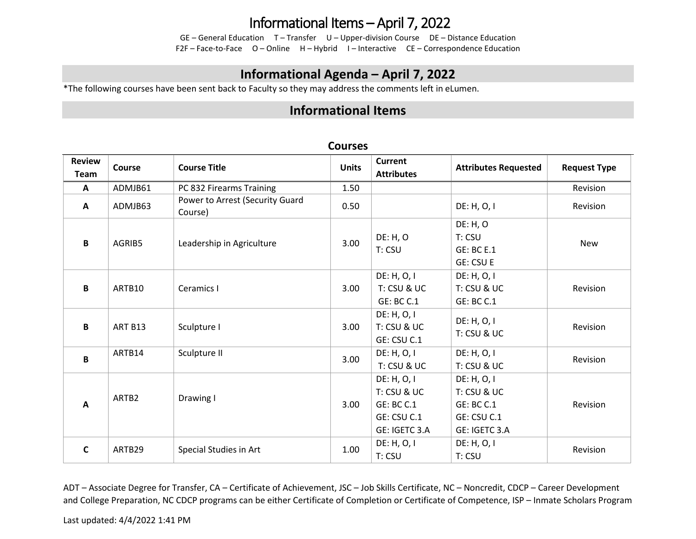## Informational Items – April 7, 2022

GE – General Education T – Transfer U – Upper-division Course DE – Distance Education F2F – Face-to-Face O – Online H – Hybrid I – Interactive CE – Correspondence Education

## **Informational Agenda – April 7, 2022**

\*The following courses have been sent back to Faculty so they may address the comments left in eLumen.

## **Informational Items**

| <b>Review</b><br><b>Team</b> | Course  | <b>Course Title</b>                        | <b>Units</b> | <b>Current</b><br><b>Attributes</b>                                             | <b>Attributes Requested</b>                                                     | <b>Request Type</b> |
|------------------------------|---------|--------------------------------------------|--------------|---------------------------------------------------------------------------------|---------------------------------------------------------------------------------|---------------------|
| $\mathbf{A}$                 | ADMJB61 | PC 832 Firearms Training                   | 1.50         |                                                                                 |                                                                                 | Revision            |
| $\mathbf{A}$                 | ADMJB63 | Power to Arrest (Security Guard<br>Course) | 0.50         |                                                                                 | DE: H, O, I                                                                     | Revision            |
| B                            | AGRIB5  | Leadership in Agriculture                  | 3.00         | DE: H, O<br>T: CSU                                                              | <b>DE: H, O</b><br>T: CSU<br><b>GE: BC E.1</b><br><b>GE: CSU E</b>              | <b>New</b>          |
| B                            | ARTB10  | Ceramics I                                 | 3.00         | DE: H, O, I<br>T: CSU & UC<br>GE: BC C.1                                        | DE: H, O, I<br>T: CSU & UC<br><b>GE: BC C.1</b>                                 | Revision            |
| B                            | ART B13 | Sculpture I                                | 3.00         | DE: H, O, I<br>T: CSU & UC<br>GE: CSU C.1                                       | DE: H, O, I<br>T: CSU & UC                                                      | Revision            |
| $\mathbf{B}$                 | ARTB14  | Sculpture II                               | 3.00         | DE: H, O, I<br>T: CSU & UC                                                      | DE: H, O, I<br>T: CSU & UC                                                      | Revision            |
| A                            | ARTB2   | Drawing I                                  | 3.00         | DE: H, O, I<br>T: CSU & UC<br><b>GE: BC C.1</b><br>GE: CSU C.1<br>GE: IGETC 3.A | DE: H, O, I<br>T: CSU & UC<br><b>GE: BC C.1</b><br>GE: CSU C.1<br>GE: IGETC 3.A | Revision            |
| C                            | ARTB29  | Special Studies in Art                     | 1.00         | DE: H, O, I<br>T: CSU                                                           | DE: H, O, I<br>T: CSU                                                           | Revision            |

#### **Courses**

ADT – Associate Degree for Transfer, CA – Certificate of Achievement, JSC – Job Skills Certificate, NC – Noncredit, CDCP – Career Development and College Preparation, NC CDCP programs can be either Certificate of Completion or Certificate of Competence, ISP – Inmate Scholars Program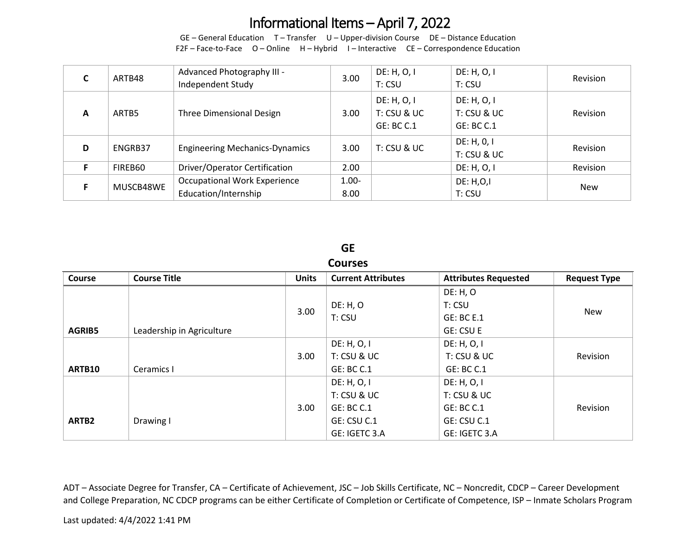## Informational Items – April 7, 2022

GE – General Education T – Transfer U – Upper-division Course DE – Distance Education F2F – Face-to-Face O – Online H – Hybrid I – Interactive CE – Correspondence Education

|   | ARTB48    | Advanced Photography III -<br>Independent Study             | 3.00             | DE: H, O, I<br>T: CSU                    | DE: H, O, I<br>T: CSU                    | Revision   |
|---|-----------|-------------------------------------------------------------|------------------|------------------------------------------|------------------------------------------|------------|
| A | ARTB5     | Three Dimensional Design                                    | 3.00             | DE: H, O, I<br>T: CSU & UC<br>GE: BC C.1 | DE: H, O, I<br>T: CSU & UC<br>GE: BC C.1 | Revision   |
| D | ENGRB37   | <b>Engineering Mechanics-Dynamics</b>                       | 3.00             | T: CSU & UC                              | DE: H, 0, I<br>T: CSU & UC               | Revision   |
|   | FIREB60   | Driver/Operator Certification                               | 2.00             |                                          | DE: H, O, I                              | Revision   |
|   | MUSCB48WE | <b>Occupational Work Experience</b><br>Education/Internship | $1.00 -$<br>8.00 |                                          | DE: H, O, I<br>T: CSU                    | <b>New</b> |

## **GE**

#### **Courses**

| <b>Course</b> | <b>Course Title</b>       | <b>Units</b> | <b>Current Attributes</b> | <b>Attributes Requested</b> | <b>Request Type</b> |
|---------------|---------------------------|--------------|---------------------------|-----------------------------|---------------------|
|               |                           |              |                           | DE: H, O                    |                     |
|               |                           | 3.00         | DE: H, O                  | T: CSU                      |                     |
|               |                           |              | T: CSU                    | <b>GE: BC E.1</b>           | New                 |
| <b>AGRIB5</b> | Leadership in Agriculture |              |                           | <b>GE: CSU E</b>            |                     |
|               |                           |              | DE: H, O, I               | DE: H, O, I                 |                     |
|               |                           | 3.00         | T: CSU & UC               | T: CSU & UC                 | Revision            |
| ARTB10        | Ceramics I                |              | GE: BC C.1                | GE: BC C.1                  |                     |
|               |                           |              | DE: H, O, I               | DE: H, O, I                 |                     |
|               |                           |              | T: CSU & UC               | $T:$ CSU & UC               |                     |
|               |                           | 3.00         | <b>GE: BC C.1</b>         | GE: BC C.1                  | Revision            |
| ARTB2         | Drawing I                 |              | GE: CSU C.1               | GE: CSU C.1                 |                     |
|               |                           |              | GE: IGETC 3.A             | GE: IGETC 3.A               |                     |

ADT – Associate Degree for Transfer, CA – Certificate of Achievement, JSC – Job Skills Certificate, NC – Noncredit, CDCP – Career Development and College Preparation, NC CDCP programs can be either Certificate of Completion or Certificate of Competence, ISP – Inmate Scholars Program